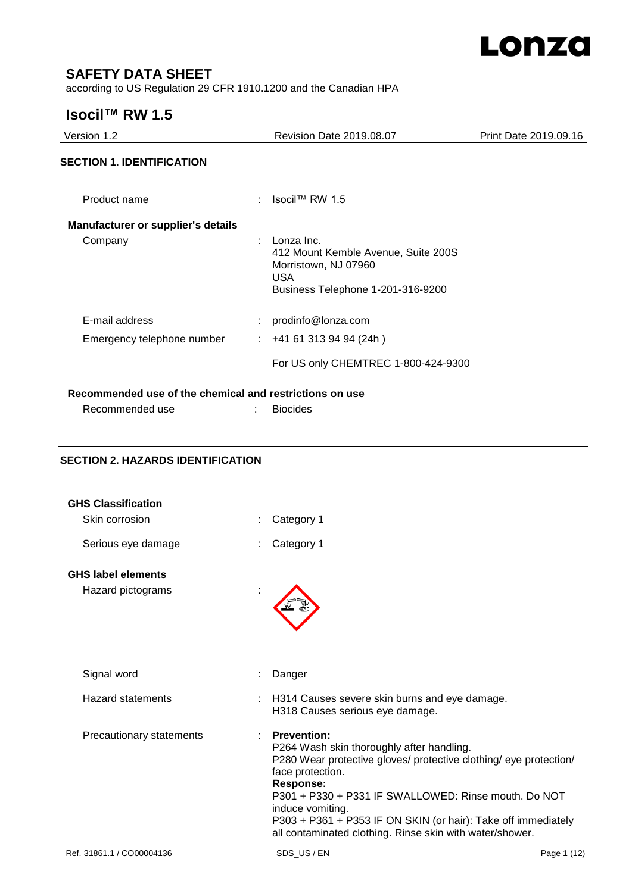

# **SAFETY DATA SHEET**

according to US Regulation 29 CFR 1910.1200 and the Canadian HPA

# **Isocil™ RW 1.5**

| Version 1.2                                             | Revision Date 2019.08.07                                                                                                     | Print Date 2019.09.16 |
|---------------------------------------------------------|------------------------------------------------------------------------------------------------------------------------------|-----------------------|
| <b>SECTION 1. IDENTIFICATION</b>                        |                                                                                                                              |                       |
| Product name                                            | : Isocil™ RW 1.5                                                                                                             |                       |
| <b>Manufacturer or supplier's details</b>               |                                                                                                                              |                       |
| Company                                                 | Lonza Inc.<br>412 Mount Kemble Avenue, Suite 200S<br>Morristown, NJ 07960<br><b>USA</b><br>Business Telephone 1-201-316-9200 |                       |
| E-mail address                                          | prodinfo@lonza.com                                                                                                           |                       |
| Emergency telephone number                              | $: +41613139494(24h)$                                                                                                        |                       |
|                                                         | For US only CHEMTREC 1-800-424-9300                                                                                          |                       |
| Recommended use of the chemical and restrictions on use |                                                                                                                              |                       |
| Recommended use                                         | <b>Biocides</b>                                                                                                              |                       |

# **SECTION 2. HAZARDS IDENTIFICATION**

| <b>GHS Classification</b> |                                                                                                                                                                                                                                                                                                                                                                                       |             |
|---------------------------|---------------------------------------------------------------------------------------------------------------------------------------------------------------------------------------------------------------------------------------------------------------------------------------------------------------------------------------------------------------------------------------|-------------|
| Skin corrosion            | Category 1                                                                                                                                                                                                                                                                                                                                                                            |             |
| Serious eye damage        | Category 1                                                                                                                                                                                                                                                                                                                                                                            |             |
| <b>GHS label elements</b> |                                                                                                                                                                                                                                                                                                                                                                                       |             |
| Hazard pictograms         |                                                                                                                                                                                                                                                                                                                                                                                       |             |
| Signal word               | Danger                                                                                                                                                                                                                                                                                                                                                                                |             |
| Hazard statements         | H314 Causes severe skin burns and eye damage.<br>H318 Causes serious eye damage.                                                                                                                                                                                                                                                                                                      |             |
| Precautionary statements  | <b>Prevention:</b><br>P264 Wash skin thoroughly after handling.<br>P280 Wear protective gloves/ protective clothing/ eye protection/<br>face protection.<br><b>Response:</b><br>P301 + P330 + P331 IF SWALLOWED: Rinse mouth, Do NOT<br>induce vomiting.<br>P303 + P361 + P353 IF ON SKIN (or hair): Take off immediately<br>all contaminated clothing. Rinse skin with water/shower. |             |
| Ref. 31861.1 / CO00004136 | SDS US/EN                                                                                                                                                                                                                                                                                                                                                                             | Page 1 (12) |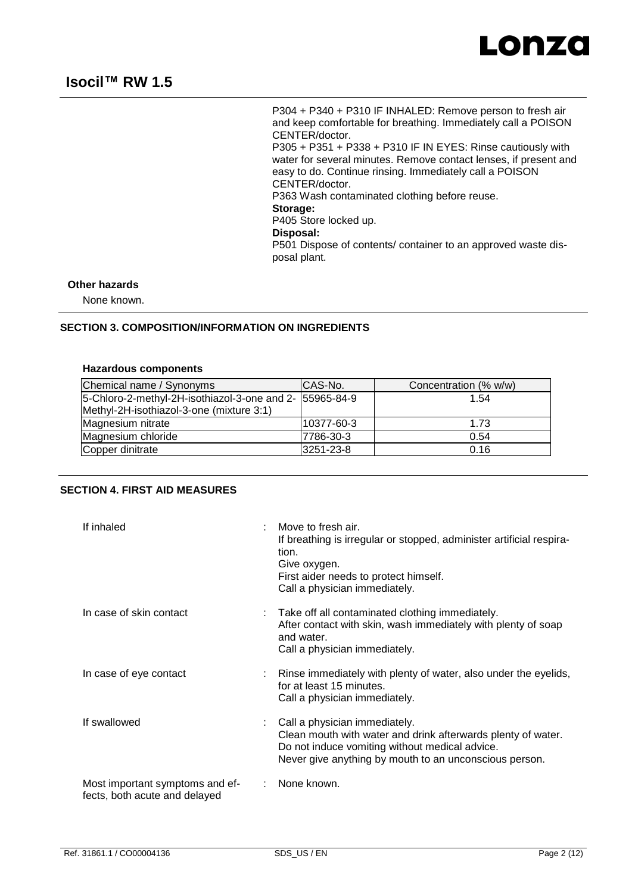

P304 + P340 + P310 IF INHALED: Remove person to fresh air and keep comfortable for breathing. Immediately call a POISON CENTER/doctor. P305 + P351 + P338 + P310 IF IN EYES: Rinse cautiously with water for several minutes. Remove contact lenses, if present and easy to do. Continue rinsing. Immediately call a POISON CENTER/doctor. P363 Wash contaminated clothing before reuse. **Storage:**  P405 Store locked up. **Disposal:**  P501 Dispose of contents/ container to an approved waste disposal plant.

# **Other hazards**

None known.

#### **SECTION 3. COMPOSITION/INFORMATION ON INGREDIENTS**

### **Hazardous components**

| Chemical name / Synonyms                                | CAS-No.    | Concentration (% w/w) |
|---------------------------------------------------------|------------|-----------------------|
| 5-Chloro-2-methyl-2H-isothiazol-3-one and 2- 55965-84-9 |            | 1.54                  |
| Methyl-2H-isothiazol-3-one (mixture 3:1)                |            |                       |
| Magnesium nitrate                                       | 10377-60-3 | 1.73                  |
| Magnesium chloride                                      | 7786-30-3  | 0.54                  |
| Copper dinitrate                                        | 3251-23-8  | 0.16                  |

### **SECTION 4. FIRST AID MEASURES**

| If inhaled                                                       | ÷ | Move to fresh air.<br>If breathing is irregular or stopped, administer artificial respira-<br>tion.<br>Give oxygen.<br>First aider needs to protect himself.<br>Call a physician immediately.             |
|------------------------------------------------------------------|---|-----------------------------------------------------------------------------------------------------------------------------------------------------------------------------------------------------------|
| In case of skin contact                                          |   | Take off all contaminated clothing immediately.<br>After contact with skin, wash immediately with plenty of soap<br>and water.<br>Call a physician immediately.                                           |
| In case of eye contact                                           |   | Rinse immediately with plenty of water, also under the eyelids,<br>for at least 15 minutes.<br>Call a physician immediately.                                                                              |
| If swallowed                                                     |   | Call a physician immediately.<br>Clean mouth with water and drink afterwards plenty of water.<br>Do not induce vomiting without medical advice.<br>Never give anything by mouth to an unconscious person. |
| Most important symptoms and ef-<br>fects, both acute and delayed |   | None known.                                                                                                                                                                                               |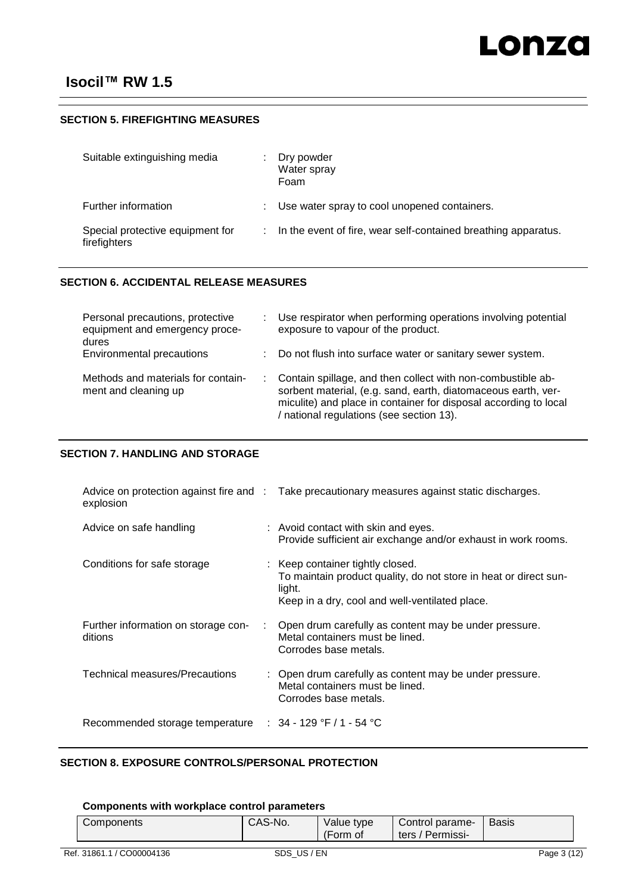### **SECTION 5. FIREFIGHTING MEASURES**

| Suitable extinguishing media                     | Dry powder<br>Water spray<br>Foam                              |
|--------------------------------------------------|----------------------------------------------------------------|
| Further information                              | Use water spray to cool unopened containers.                   |
| Special protective equipment for<br>firefighters | In the event of fire, wear self-contained breathing apparatus. |

### **SECTION 6. ACCIDENTAL RELEASE MEASURES**

| Personal precautions, protective<br>equipment and emergency proce-<br>dures | Use respirator when performing operations involving potential<br>exposure to vapour of the product.                                                                                                                                            |
|-----------------------------------------------------------------------------|------------------------------------------------------------------------------------------------------------------------------------------------------------------------------------------------------------------------------------------------|
| Environmental precautions                                                   | Do not flush into surface water or sanitary sewer system.                                                                                                                                                                                      |
| Methods and materials for contain-<br>ment and cleaning up                  | : Contain spillage, and then collect with non-combustible ab-<br>sorbent material, (e.g. sand, earth, diatomaceous earth, ver-<br>miculite) and place in container for disposal according to local<br>/ national regulations (see section 13). |

### **SECTION 7. HANDLING AND STORAGE**

| explosion                                      |   | Advice on protection against fire and : Take precautionary measures against static discharges.                                                                   |
|------------------------------------------------|---|------------------------------------------------------------------------------------------------------------------------------------------------------------------|
| Advice on safe handling                        |   | : Avoid contact with skin and eyes.<br>Provide sufficient air exchange and/or exhaust in work rooms.                                                             |
| Conditions for safe storage                    |   | : Keep container tightly closed.<br>To maintain product quality, do not store in heat or direct sun-<br>light.<br>Keep in a dry, cool and well-ventilated place. |
| Further information on storage con-<br>ditions | ÷ | Open drum carefully as content may be under pressure.<br>Metal containers must be lined.<br>Corrodes base metals.                                                |
| Technical measures/Precautions                 |   | : Open drum carefully as content may be under pressure.<br>Metal containers must be lined.<br>Corrodes base metals.                                              |
| Recommended storage temperature                |   | : $34 - 129$ °F $/1 - 54$ °C                                                                                                                                     |

# **SECTION 8. EXPOSURE CONTROLS/PERSONAL PROTECTION**

### **Components with workplace control parameters**

| CAS-No.<br>Components | Value type<br>(Form of | Control parame-<br>′ Permissi- ∖<br>ters $/$ | <b>Basis</b> |
|-----------------------|------------------------|----------------------------------------------|--------------|
|-----------------------|------------------------|----------------------------------------------|--------------|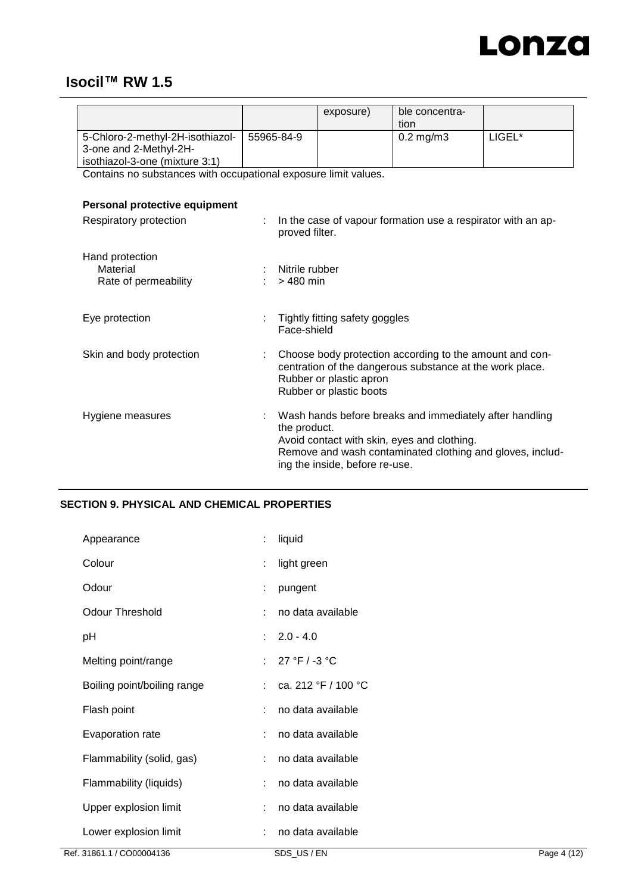

|                                  |            | exposure) | ble concentra-<br>tion |        |
|----------------------------------|------------|-----------|------------------------|--------|
| 5-Chloro-2-methyl-2H-isothiazol- | 55965-84-9 |           | $0.2 \,\mathrm{mg/m3}$ | LIGEL* |
| 3-one and 2-Methyl-2H-           |            |           |                        |        |
| isothiazol-3-one (mixture 3:1)   |            |           |                        |        |

Contains no substances with occupational exposure limit values.

# **Personal protective equipment**

| Respiratory protection                              |   | In the case of vapour formation use a respirator with an ap-<br>proved filter.                                                                                                                                        |
|-----------------------------------------------------|---|-----------------------------------------------------------------------------------------------------------------------------------------------------------------------------------------------------------------------|
| Hand protection<br>Material<br>Rate of permeability |   | Nitrile rubber<br>> 480 min                                                                                                                                                                                           |
| Eye protection                                      |   | Tightly fitting safety goggles<br>Face-shield                                                                                                                                                                         |
| Skin and body protection                            |   | Choose body protection according to the amount and con-<br>centration of the dangerous substance at the work place.<br>Rubber or plastic apron<br>Rubber or plastic boots                                             |
| Hygiene measures                                    | ÷ | Wash hands before breaks and immediately after handling<br>the product.<br>Avoid contact with skin, eyes and clothing.<br>Remove and wash contaminated clothing and gloves, includ-<br>ing the inside, before re-use. |

# **SECTION 9. PHYSICAL AND CHEMICAL PROPERTIES**

| Appearance                  |                | liquid                                  |
|-----------------------------|----------------|-----------------------------------------|
| Colour                      |                | light green                             |
| Odour                       | ÷              | pungent                                 |
| <b>Odour Threshold</b>      |                | no data available                       |
| рH                          |                | $: 2.0 - 4.0$                           |
| Melting point/range         | $\mathbf{r}$ . | 27 °F / -3 °C                           |
| Boiling point/boiling range |                | : ca. 212 $\degree$ F / 100 $\degree$ C |
| Flash point                 | ۰.             | no data available                       |
| Evaporation rate            |                | no data available                       |
| Flammability (solid, gas)   |                | no data available                       |
| Flammability (liquids)      | ÷.             | no data available                       |
| Upper explosion limit       | ÷.             | no data available                       |
| Lower explosion limit       |                | no data available                       |
|                             |                |                                         |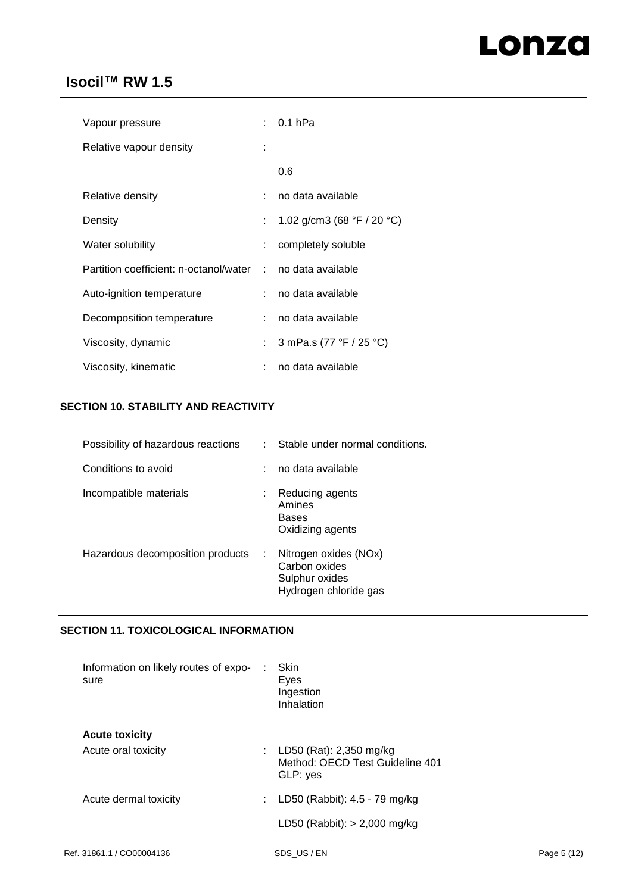# Lonza

# **Isocil™ RW 1.5**

| Vapour pressure                        |                           | $: 0.1$ hPa                                  |
|----------------------------------------|---------------------------|----------------------------------------------|
| Relative vapour density                |                           |                                              |
|                                        |                           | 0.6                                          |
| Relative density                       |                           | no data available                            |
| Density                                | $\mathbb{R}^{\mathbb{Z}}$ | 1.02 g/cm3 (68 $\degree$ F / 20 $\degree$ C) |
| Water solubility                       | t.                        | completely soluble                           |
| Partition coefficient: n-octanol/water | $\sim$                    | no data available                            |
| Auto-ignition temperature              |                           | : no data available                          |
| Decomposition temperature              |                           | no data available                            |
| Viscosity, dynamic                     | t.                        | 3 mPa.s (77 °F / 25 °C)                      |
| Viscosity, kinematic                   |                           | no data available                            |

# **SECTION 10. STABILITY AND REACTIVITY**

| Possibility of hazardous reactions | Stable under normal conditions.                                                        |
|------------------------------------|----------------------------------------------------------------------------------------|
| Conditions to avoid                | no data available                                                                      |
| Incompatible materials             | Reducing agents<br>Amines<br><b>Bases</b><br>Oxidizing agents                          |
| Hazardous decomposition products   | Nitrogen oxides (NOx)<br>÷<br>Carbon oxides<br>Sulphur oxides<br>Hydrogen chloride gas |

## **SECTION 11. TOXICOLOGICAL INFORMATION**

| Information on likely routes of expo-<br>sure | Skin<br>Eyes<br>Ingestion<br>Inhalation                                  |
|-----------------------------------------------|--------------------------------------------------------------------------|
| <b>Acute toxicity</b><br>Acute oral toxicity  | : LD50 (Rat): 2,350 mg/kg<br>Method: OECD Test Guideline 401<br>GLP: yes |
| Acute dermal toxicity                         | LD50 (Rabbit): 4.5 - 79 mg/kg<br>LD50 (Rabbit): $>$ 2,000 mg/kg          |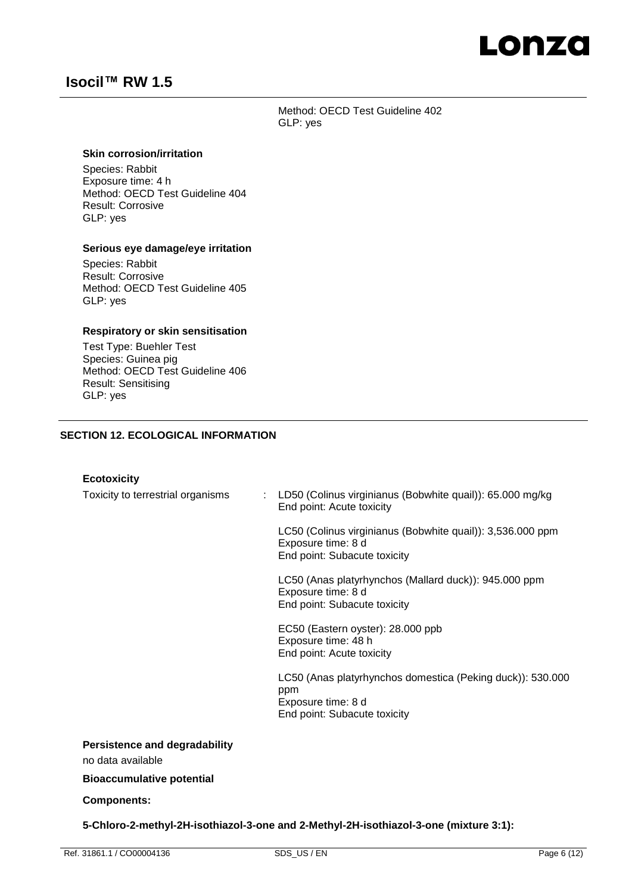# Lonza

# **Isocil™ RW 1.5**

Method: OECD Test Guideline 402 GLP: yes

### **Skin corrosion/irritation**

Species: Rabbit Exposure time: 4 h Method: OECD Test Guideline 404 Result: Corrosive GLP: yes

### **Serious eye damage/eye irritation**

Species: Rabbit Result: Corrosive Method: OECD Test Guideline 405 GLP: yes

### **Respiratory or skin sensitisation**

Test Type: Buehler Test Species: Guinea pig Method: OECD Test Guideline 406 Result: Sensitising GLP: yes

### **SECTION 12. ECOLOGICAL INFORMATION**

#### **Ecotoxicity**

| Toxicity to terrestrial organisms                         | LD50 (Colinus virginianus (Bobwhite quail)): 65.000 mg/kg<br>End point: Acute toxicity                                  |
|-----------------------------------------------------------|-------------------------------------------------------------------------------------------------------------------------|
|                                                           | LC50 (Colinus virginianus (Bobwhite quail)): 3,536.000 ppm<br>Exposure time: 8 d<br>End point: Subacute toxicity        |
|                                                           | LC50 (Anas platyrhynchos (Mallard duck)): 945.000 ppm<br>Exposure time: 8 d<br>End point: Subacute toxicity             |
|                                                           | EC50 (Eastern oyster): 28.000 ppb<br>Exposure time: 48 h<br>End point: Acute toxicity                                   |
|                                                           | LC50 (Anas platyrhynchos domestica (Peking duck)): 530.000<br>ppm<br>Exposure time: 8 d<br>End point: Subacute toxicity |
| <b>Persistence and degradability</b><br>no data available |                                                                                                                         |
| <b>Bioaccumulative potential</b>                          |                                                                                                                         |
| <b>Components:</b>                                        |                                                                                                                         |

**5-Chloro-2-methyl-2H-isothiazol-3-one and 2-Methyl-2H-isothiazol-3-one (mixture 3:1):**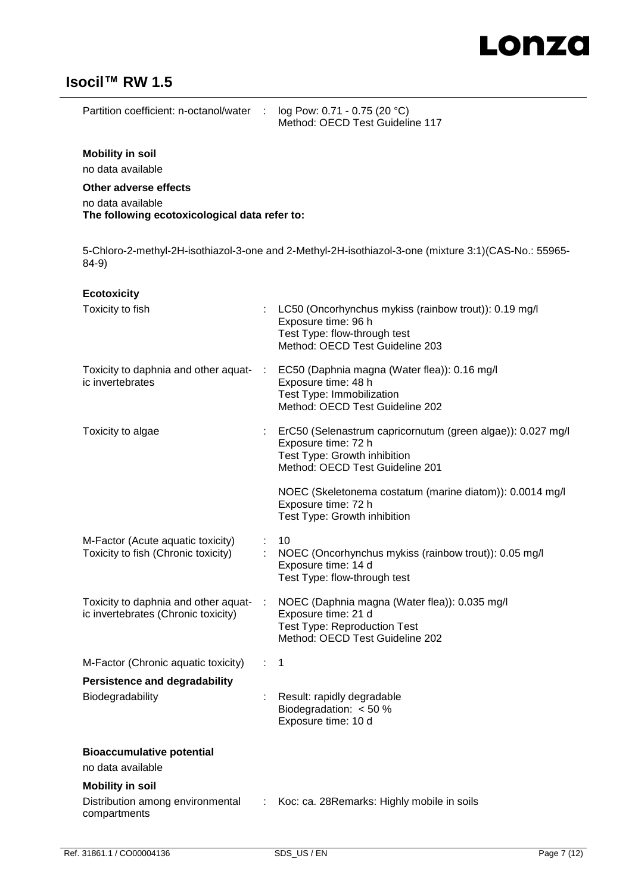

Partition coefficient: n-octanol/water : log Pow: 0.71 - 0.75 (20 °C)

Method: OECD Test Guideline 117

### **Mobility in soil**

no data available

### **Other adverse effects**

no data available **The following ecotoxicological data refer to:**

5-Chloro-2-methyl-2H-isothiazol-3-one and 2-Methyl-2H-isothiazol-3-one (mixture 3:1)(CAS-No.: 55965- 84-9)

| <b>Ecotoxicity</b>                                                          |               |                                                                                                                                                       |
|-----------------------------------------------------------------------------|---------------|-------------------------------------------------------------------------------------------------------------------------------------------------------|
| Toxicity to fish                                                            |               | LC50 (Oncorhynchus mykiss (rainbow trout)): 0.19 mg/l<br>Exposure time: 96 h<br>Test Type: flow-through test<br>Method: OECD Test Guideline 203       |
| Toxicity to daphnia and other aquat-<br>ic invertebrates                    | П.            | EC50 (Daphnia magna (Water flea)): 0.16 mg/l<br>Exposure time: 48 h<br>Test Type: Immobilization<br>Method: OECD Test Guideline 202                   |
| Toxicity to algae                                                           | ÷             | ErC50 (Selenastrum capricornutum (green algae)): 0.027 mg/l<br>Exposure time: 72 h<br>Test Type: Growth inhibition<br>Method: OECD Test Guideline 201 |
|                                                                             |               | NOEC (Skeletonema costatum (marine diatom)): 0.0014 mg/l<br>Exposure time: 72 h<br>Test Type: Growth inhibition                                       |
| M-Factor (Acute aquatic toxicity)<br>Toxicity to fish (Chronic toxicity)    |               | 10<br>NOEC (Oncorhynchus mykiss (rainbow trout)): 0.05 mg/l<br>Exposure time: 14 d<br>Test Type: flow-through test                                    |
| Toxicity to daphnia and other aquat-<br>ic invertebrates (Chronic toxicity) |               | NOEC (Daphnia magna (Water flea)): 0.035 mg/l<br>Exposure time: 21 d<br><b>Test Type: Reproduction Test</b><br>Method: OECD Test Guideline 202        |
| M-Factor (Chronic aquatic toxicity)                                         | $\mathcal{L}$ | $\mathbf{1}$                                                                                                                                          |
| <b>Persistence and degradability</b>                                        |               |                                                                                                                                                       |
| Biodegradability                                                            |               | Result: rapidly degradable<br>Biodegradation: $< 50 %$<br>Exposure time: 10 d                                                                         |
| <b>Bioaccumulative potential</b><br>no data available                       |               |                                                                                                                                                       |
| <b>Mobility in soil</b><br>Distribution among environmental<br>compartments | ÷             | Koc: ca. 28 Remarks: Highly mobile in soils                                                                                                           |
|                                                                             |               |                                                                                                                                                       |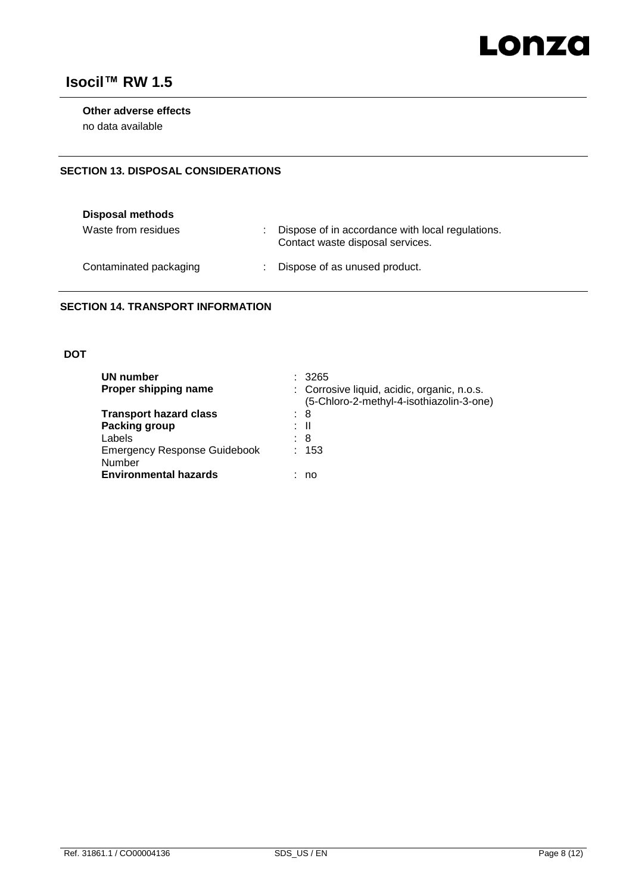

### **Other adverse effects**

no data available

### **SECTION 13. DISPOSAL CONSIDERATIONS**

| Disposal methods       |                                                                                      |
|------------------------|--------------------------------------------------------------------------------------|
| Waste from residues    | Dispose of in accordance with local regulations.<br>Contact waste disposal services. |
| Contaminated packaging | : Dispose of as unused product.                                                      |

### **SECTION 14. TRANSPORT INFORMATION**

### **DOT**

| UN number<br>Proper shipping name                                             | : 3265<br>: Corrosive liquid, acidic, organic, n.o.s.<br>(5-Chloro-2-methyl-4-isothiazolin-3-one) |
|-------------------------------------------------------------------------------|---------------------------------------------------------------------------------------------------|
| <b>Transport hazard class</b><br>Packing group<br>Labels                      | : 8<br>: II<br>: 8                                                                                |
| <b>Emergency Response Guidebook</b><br>Number<br><b>Environmental hazards</b> | : 153<br>no                                                                                       |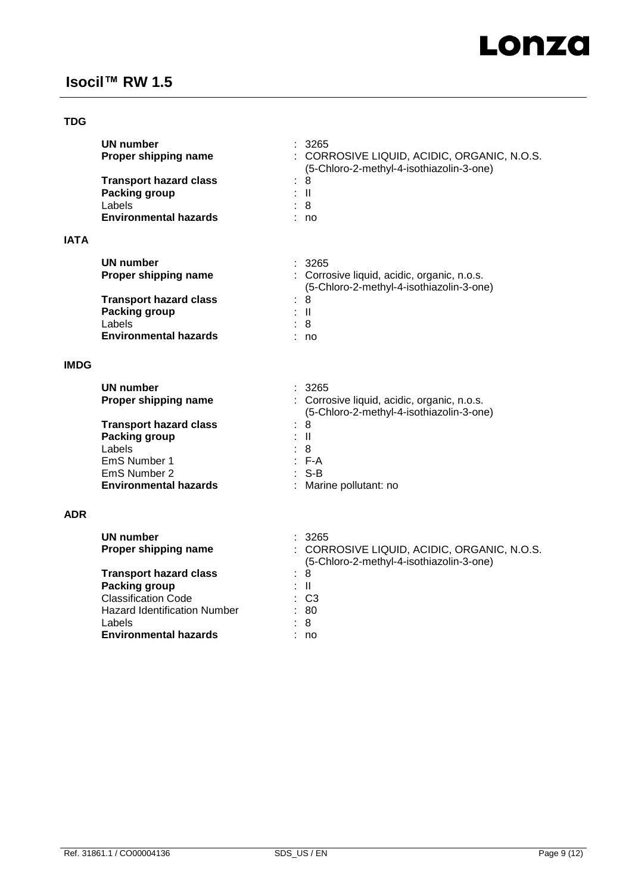## **TDG**

|             | <b>UN number</b><br>Proper shipping name | 3265<br>: CORROSIVE LIQUID, ACIDIC, ORGANIC, N.O.S.<br>(5-Chloro-2-methyl-4-isothiazolin-3-one) |
|-------------|------------------------------------------|-------------------------------------------------------------------------------------------------|
|             | <b>Transport hazard class</b><br>t.      | 8                                                                                               |
|             | Packing group<br>Labels                  | : II<br>: 8                                                                                     |
|             | <b>Environmental hazards</b>             | : no                                                                                            |
|             |                                          |                                                                                                 |
| <b>IATA</b> |                                          |                                                                                                 |
|             | UN number                                | : 3265                                                                                          |
|             | Proper shipping name                     | : Corrosive liquid, acidic, organic, n.o.s.                                                     |
|             |                                          | (5-Chloro-2-methyl-4-isothiazolin-3-one)                                                        |
|             | <b>Transport hazard class</b><br>÷       | 8                                                                                               |
|             | Packing group                            | : II                                                                                            |
|             | Labels                                   | : 8                                                                                             |
|             | <b>Environmental hazards</b>             | no                                                                                              |
|             |                                          |                                                                                                 |

### **IMDG**

| UN number                     | : 3265                                      |
|-------------------------------|---------------------------------------------|
| Proper shipping name          | : Corrosive liquid, acidic, organic, n.o.s. |
|                               | (5-Chloro-2-methyl-4-isothiazolin-3-one)    |
| <b>Transport hazard class</b> | : 8                                         |
| Packing group                 | : II                                        |
| Labels                        | : 8                                         |
| EmS Number 1                  | $\therefore$ F-A                            |
| EmS Number 2                  | $:$ S-B                                     |
| <b>Environmental hazards</b>  | : Marine pollutant: no                      |

### **ADR**

| UN number<br>Proper shipping name   | : 3265<br>: CORROSIVE LIQUID, ACIDIC, ORGANIC, N.O.S.<br>(5-Chloro-2-methyl-4-isothiazolin-3-one) |
|-------------------------------------|---------------------------------------------------------------------------------------------------|
| <b>Transport hazard class</b>       | : 8                                                                                               |
| Packing group                       | : II                                                                                              |
| <b>Classification Code</b>          | $\therefore$ C3                                                                                   |
| <b>Hazard Identification Number</b> | : 80                                                                                              |
| Labels                              | : 8                                                                                               |
| <b>Environmental hazards</b>        | no                                                                                                |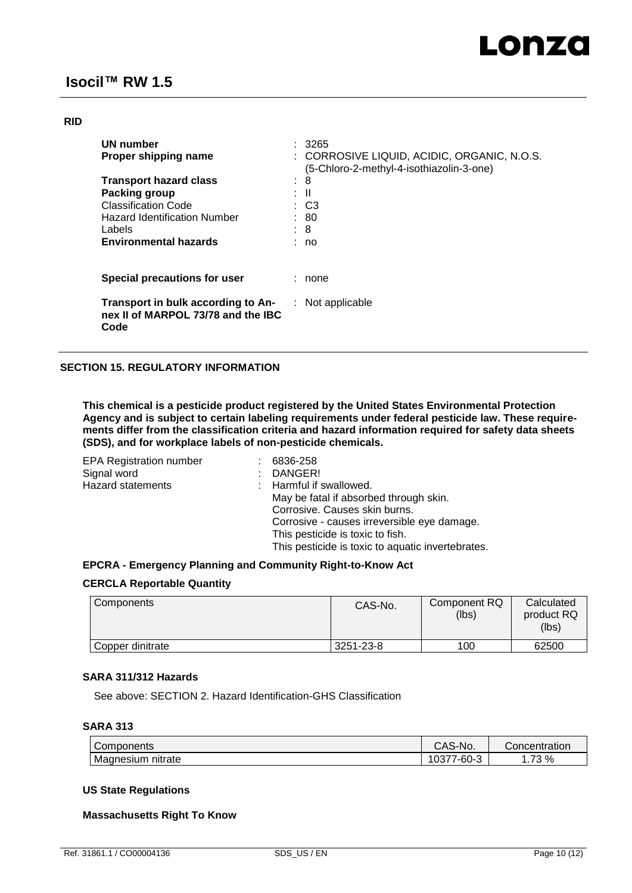### **RID**

| UN number<br>Proper shipping name                                                |   | : 3265<br>: CORROSIVE LIQUID, ACIDIC, ORGANIC, N.O.S.<br>(5-Chloro-2-methyl-4-isothiazolin-3-one) |
|----------------------------------------------------------------------------------|---|---------------------------------------------------------------------------------------------------|
| <b>Transport hazard class</b>                                                    | ٠ | 8                                                                                                 |
| Packing group                                                                    |   | : II                                                                                              |
| <b>Classification Code</b>                                                       |   | $\therefore$ C3                                                                                   |
| <b>Hazard Identification Number</b>                                              |   | : 80                                                                                              |
| Labels                                                                           |   | $\therefore$ 8                                                                                    |
| <b>Environmental hazards</b>                                                     |   | : no                                                                                              |
| Special precautions for user                                                     |   | none                                                                                              |
| Transport in bulk according to An-<br>nex II of MARPOL 73/78 and the IBC<br>Code |   | $:$ Not applicable                                                                                |

### **SECTION 15. REGULATORY INFORMATION**

**This chemical is a pesticide product registered by the United States Environmental Protection Agency and is subject to certain labeling requirements under federal pesticide law. These requirements differ from the classification criteria and hazard information required for safety data sheets (SDS), and for workplace labels of non-pesticide chemicals.**

| <b>EPA Registration number</b> | 6836-258                                          |
|--------------------------------|---------------------------------------------------|
| Signal word                    | DANGER!                                           |
| <b>Hazard statements</b>       | : Harmful if swallowed.                           |
|                                | May be fatal if absorbed through skin.            |
|                                | Corrosive. Causes skin burns.                     |
|                                | Corrosive - causes irreversible eye damage.       |
|                                | This pesticide is toxic to fish.                  |
|                                | This pesticide is toxic to aquatic invertebrates. |

### **EPCRA - Emergency Planning and Community Right-to-Know Act**

### **CERCLA Reportable Quantity**

| <b>Components</b> | CAS-No.   | Component RQ<br>(lbs) | Calculated<br>product RQ<br>(lbs) |
|-------------------|-----------|-----------------------|-----------------------------------|
| Copper dinitrate  | 3251-23-8 | 100                   | 62500                             |

### **SARA 311/312 Hazards**

See above: SECTION 2. Hazard Identification-GHS Classification

### **SARA 313**

| Components           | `S-No.<br>$\mathbf{v}$<br>UAJ.           | Concentration |
|----------------------|------------------------------------------|---------------|
| Magnesium<br>nitrate | $\sim$<br>$\sqrt{2}$<br>7-60∹<br>vu<br>J | 70<br>%<br>ື  |

### **US State Regulations**

### **Massachusetts Right To Know**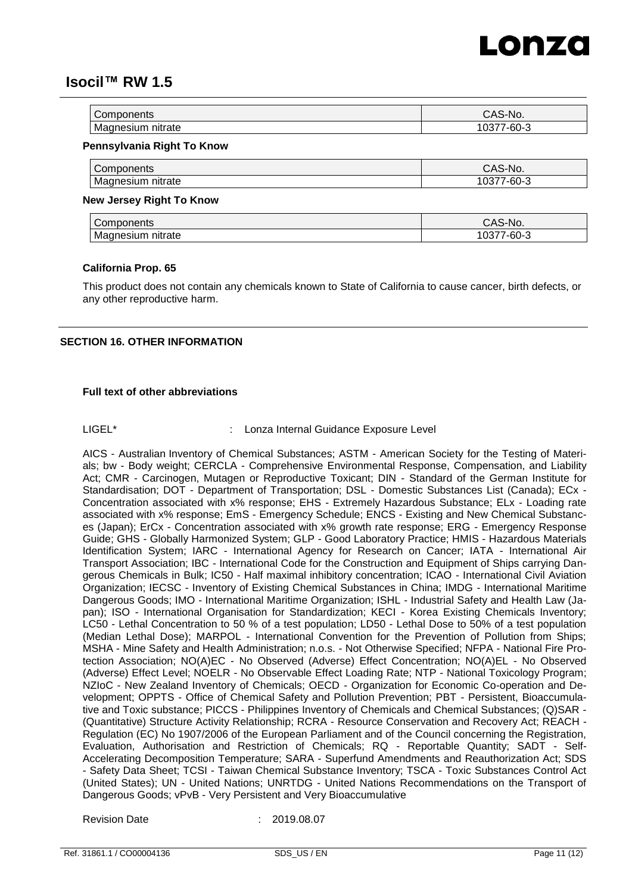

| <b>Components</b>        | $\cdot$ $\sim$<br>S-NO.<br>$\mathcal{L}$<br>$\overline{\phantom{0}}$ |
|--------------------------|----------------------------------------------------------------------|
| Μa                       | $\sim$ $\sim$                                                        |
| nitrate                  | 60-G                                                                 |
| $\overline{\phantom{a}}$ | vJ                                                                   |

#### **Pennsylvania Right To Know**

| Components | CAS-No.       |
|------------|---------------|
| Mao        | $\sim$ $\sim$ |
| anesium    | ′-ხ∪-ა        |
| nitrate    | və            |

#### **New Jersey Right To Know**

| -<br>.<br>טווסו            | ، ۸۱<br>v.                 |
|----------------------------|----------------------------|
| nitrata<br>M.<br>וור<br>ае | $\sim$ $\sim$<br>-יימ<br>u |

#### **California Prop. 65**

This product does not contain any chemicals known to State of California to cause cancer, birth defects, or any other reproductive harm.

#### **SECTION 16. OTHER INFORMATION**

### **Full text of other abbreviations**

### LIGEL<sup>\*</sup> : Lonza Internal Guidance Exposure Level

AICS - Australian Inventory of Chemical Substances; ASTM - American Society for the Testing of Materials; bw - Body weight; CERCLA - Comprehensive Environmental Response, Compensation, and Liability Act; CMR - Carcinogen, Mutagen or Reproductive Toxicant; DIN - Standard of the German Institute for Standardisation; DOT - Department of Transportation; DSL - Domestic Substances List (Canada); ECx - Concentration associated with x% response; EHS - Extremely Hazardous Substance; ELx - Loading rate associated with x% response; EmS - Emergency Schedule; ENCS - Existing and New Chemical Substances (Japan); ErCx - Concentration associated with x% growth rate response; ERG - Emergency Response Guide; GHS - Globally Harmonized System; GLP - Good Laboratory Practice; HMIS - Hazardous Materials Identification System; IARC - International Agency for Research on Cancer; IATA - International Air Transport Association; IBC - International Code for the Construction and Equipment of Ships carrying Dangerous Chemicals in Bulk; IC50 - Half maximal inhibitory concentration; ICAO - International Civil Aviation Organization; IECSC - Inventory of Existing Chemical Substances in China; IMDG - International Maritime Dangerous Goods; IMO - International Maritime Organization; ISHL - Industrial Safety and Health Law (Japan); ISO - International Organisation for Standardization; KECI - Korea Existing Chemicals Inventory; LC50 - Lethal Concentration to 50 % of a test population; LD50 - Lethal Dose to 50% of a test population (Median Lethal Dose); MARPOL - International Convention for the Prevention of Pollution from Ships; MSHA - Mine Safety and Health Administration; n.o.s. - Not Otherwise Specified; NFPA - National Fire Protection Association; NO(A)EC - No Observed (Adverse) Effect Concentration; NO(A)EL - No Observed (Adverse) Effect Level; NOELR - No Observable Effect Loading Rate; NTP - National Toxicology Program; NZIoC - New Zealand Inventory of Chemicals; OECD - Organization for Economic Co-operation and Development; OPPTS - Office of Chemical Safety and Pollution Prevention; PBT - Persistent, Bioaccumulative and Toxic substance; PICCS - Philippines Inventory of Chemicals and Chemical Substances; (Q)SAR - (Quantitative) Structure Activity Relationship; RCRA - Resource Conservation and Recovery Act; REACH - Regulation (EC) No 1907/2006 of the European Parliament and of the Council concerning the Registration, Evaluation, Authorisation and Restriction of Chemicals; RQ - Reportable Quantity; SADT - Self-Accelerating Decomposition Temperature; SARA - Superfund Amendments and Reauthorization Act; SDS - Safety Data Sheet; TCSI - Taiwan Chemical Substance Inventory; TSCA - Toxic Substances Control Act (United States); UN - United Nations; UNRTDG - United Nations Recommendations on the Transport of Dangerous Goods; vPvB - Very Persistent and Very Bioaccumulative